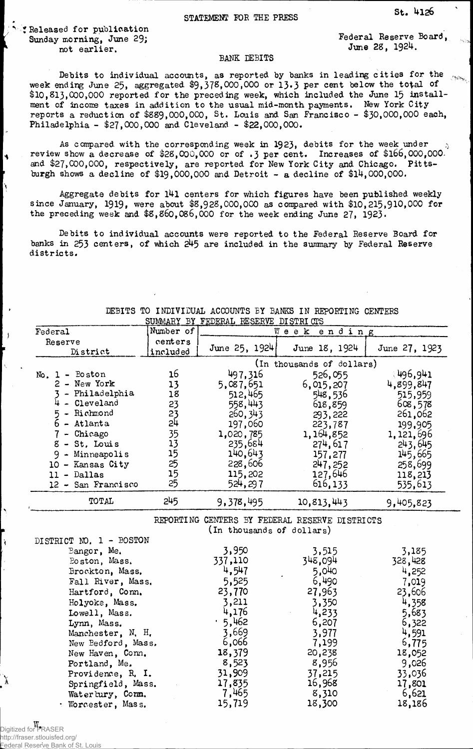: Released for publication Sunday morning, June 29; not earlier.

I۰

Federal Reserve Board, June 28, 1924.

## **BANK DEBITS**

Debits to individual accounts, as reported by banks in leading cities for the week ending June 25, aggregated \$9,378,000,000 or 13.3 per cent below the total of \$10, 813,000,000 reported for the preceding week, which included the June 15 installment of income taxes in addition to the usual mid-month payments. New York City reports a reduction of \$889,000, 000, St. Louis and San Francisco - \$30,000,000 each, Philadelphia - \$27,000,000 and Cleveland - \$22,000,000.

As compared with the corresponding week in 1923, debits for the week under  $\hskip 10.5cm \scriptscriptstyle \sim$ review show a decrease of \$28,000,000 or of .3 per cent. Increases of \$166,000,000. and  $$27,000,000$ , respectively, are reported for New York City and Chicago. Pittsburgh shows a decline of  $$19,000,000$  and Detroit - a decline of  $$14,000,000$ .

Aggregate debits for 141 centers for which figures have been published weekly since January, 1919, were about \$8,928,000,000 as compared with \$10,215,910,000 for the preceding week and  $$8,860,086,000$  for the week ending June 27, 1923.

Debits to individual accounts were reported to the Federal Reserve Board for banks in 253 centers, of which 245 are included in the sunmary by Federal Reserve districts.

| SUMMARY BY FEDERAL RESERVE DISTRICIS |                           |                           |                                                |               |  |
|--------------------------------------|---------------------------|---------------------------|------------------------------------------------|---------------|--|
| Federal                              | Number of                 | Week<br>ending            |                                                |               |  |
| Reserve                              | centers                   | June 25, 1924             | June 18, 1924                                  | June 27, 1923 |  |
| District                             | included                  |                           |                                                |               |  |
|                                      | (In thousands of dollars) |                           |                                                |               |  |
| $No. 1 - Boston$                     | 16                        | 497,316                   | 526,055                                        | €496,941      |  |
| 2 - New York                         | 13                        | 5,087,651                 | 6,015,207                                      | 4,899,847     |  |
| - Philadelphia                       | 18                        | 512,465                   | 548,536                                        | 515,959       |  |
| 4 - Cleveland                        | 23                        | 558,443                   | 618,859                                        | 608,578       |  |
| 5 - Richmond                         | 23                        | 260, 343                  | 293,222                                        | 261,062       |  |
| $6$ - Atlanta                        | 24                        | 197,060                   | 223,787                                        | 199,905       |  |
| $7 -$ Chicago                        | 35                        | 1,020,785                 | 1, 164, 852                                    | 1,121,696     |  |
| 8 - St. Louis                        | 13                        | 235,684                   | 274, 617                                       | 243,645       |  |
| $9 -$ Minneapolis                    | 15                        | 140,643                   | 157,277                                        | 145,665       |  |
| 10 - Kansas City                     | 25                        | 228,606                   | 247, 252                                       | 258,699       |  |
| $11 -$ Dallas                        | 15                        | 115,202                   | 127,646                                        | 118,213       |  |
| 12 - San Francisco                   | 25                        | 524,297                   | 616,133                                        | 535,613       |  |
|                                      | 245                       |                           |                                                |               |  |
| TOTAL                                |                           | 9,378,495                 | 10, 813, 443                                   | 9,405,823     |  |
|                                      |                           |                           | REPORTING CENTERS BY FEDERAL RESERVE DISTRICTS |               |  |
|                                      |                           | (In thousands of dollars) |                                                |               |  |
| DISTRICT NO. 1 - BOSTON              |                           |                           |                                                |               |  |
| Bangor, Me.                          |                           | 3,950                     | 3,515                                          | 3,185         |  |
|                                      |                           | 337,110                   | 348,094                                        | 328,428       |  |
| Boston, Mass.                        |                           | 4,547                     | 5,040                                          | 4,252         |  |
| Brockton, Mass.<br>Fall River, Mass. |                           | 5,525                     | 6,490                                          | 7,019         |  |
|                                      |                           | 23,770                    |                                                |               |  |
| Hartford, Conn.                      |                           |                           | 27,963                                         | 23,606        |  |
| Holyoke, Mass.                       |                           | 3,211                     | 3,350                                          | 4,358         |  |
| Lowell, Mass.                        |                           | 4,176                     | 4,233                                          | 5,683         |  |
| Lynn, Mass.                          |                           | .5,462                    | 6,207                                          | 6,322         |  |
| Manchester, N. H.                    |                           | 3,669                     | 3,977                                          | 4,591         |  |
| New Bedford, Mass.                   |                           | 6,066                     | 7,199                                          | 6,775         |  |
| New Haven, Conn.                     |                           | 18,379                    | 20,238                                         | 18,052        |  |
| Portland, Me.                        |                           | 8,523                     | 8,956                                          | 9,026         |  |
| Providence, R. I.                    |                           | 31,909                    | 37,215                                         | 33,036        |  |
| Springfield, Mass.                   |                           | 17,835                    | 16,968                                         | 17,801        |  |
| Waterbury, Conn.                     |                           | 7,465                     | 8,310                                          | 6,621         |  |
| · Worcester, Mass.                   |                           | 15,719                    | 18,300                                         | 18,186        |  |

DEBITS TO INDIVIDUAL ACCOUNTS BY BANKS IN REPORTING CENTERS

W. Digitized for FRASER http://fraser.stlouisfed.org/

Federal Reserve Bank of St. Louis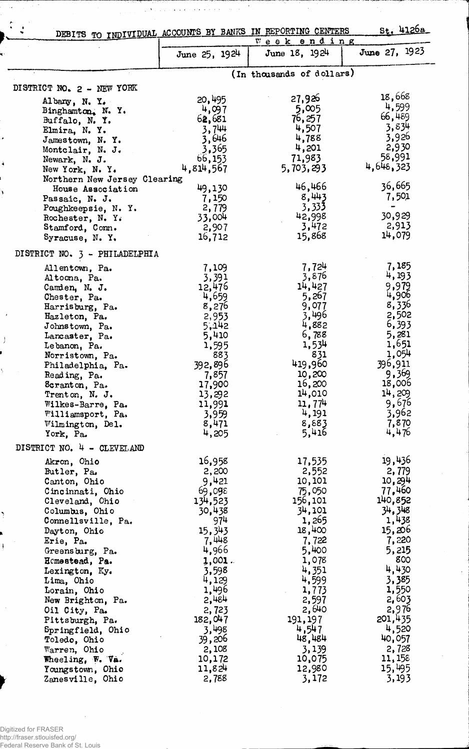| DEBITS TO INDIVIDUAL ACCOUNTS BY BANKS IN REPORTING CENTERS |                 |                              | St. 4126a       |
|-------------------------------------------------------------|-----------------|------------------------------|-----------------|
|                                                             | June 25, 1924   | Week ending<br>June 18, 1924 | June 27, 1923   |
|                                                             |                 |                              |                 |
|                                                             |                 | (In thousands of dollars)    |                 |
| DISTRICT NO. 2 - NEW YORK                                   | 20,495          | 27,926                       | 18,668          |
| Albany, N. Y.<br>Binghamton. N. Y.                          | 4,097           | 5,005                        | 4,599           |
| Buffalo, N.Y.                                               | 62,681          | 76,257                       | 66,489          |
| Elmira, N.Y.                                                | 3,744           | 4,507                        | 3,834           |
| Jamestown, N.Y.                                             | 3,646           | 4,788                        | 3,926           |
| Montclair, N. J.                                            | 3,365           | 4,201                        | 2,930           |
| Newark, N. J.                                               | 66,153          | 71,983                       | 58,991          |
| New York, N. Y.                                             | 4,814,567       | 5,703,293                    | 4,648,323       |
| Northern New Jersey Clearing                                |                 |                              |                 |
| House Association                                           | 49,130          | 46,466                       | 36,665          |
| Passaic, N. J.                                              | 7,150           | 8,443                        | 7,501           |
| Poughkeepsie, N. Y.                                         | 2,779           | 3,333<br>42,998              | œ<br>30,929     |
| Rochester, N. Y.                                            | 33,004<br>2,907 | 3,472                        | 2,913           |
| Stamford, Conn.<br>Syracuse, N.Y.                           | 16,712          | 15,868                       | 14,079          |
|                                                             |                 |                              |                 |
| DISTRICT NO. 3 - PHILADELPHIA                               |                 |                              |                 |
| Allentown, Pa.                                              | 7,109           | 7,724                        | 7,185           |
| Altoma, Pa.                                                 | 3,391           | 3,876<br>14,427              | 4,193<br>9,979  |
| Camden, N. J.                                               | 12,476          | 5,267                        | 4,906           |
| Chester, Pa.                                                | 4,659<br>8,276  | 9,077                        | 8,336           |
| Harrisburg, Pa.<br>Hazleton, Pa.                            | 2,953           | 3,496                        | 2,502           |
| Johnstown, Pa.                                              | 5,142           | 4,882                        | 6,393           |
| Lancaster, Pa.                                              | 5,410           | 6,788                        | 5,281           |
| Lebanon, Pa.                                                | 1,595           | 1,534                        | 1,651           |
| Norristown, Pa.                                             | 883             | 831                          | 1,054           |
| Philadelphia, Pa.                                           | 392,896         | 419,960                      | 396,911         |
| Reading, Pa.                                                | 7,857           | 10,200                       | 9,369           |
| Scranton, Pa.                                               | 17,900          | 16,200                       | 18,006          |
| Trenton, N. J.                                              | 13,292          | 14,010<br>11,774             | 14,209<br>9,676 |
| Wilkes-Barre, Pa.<br>Williamsport, Pa.                      | 11,991<br>3,959 | 4,191                        | 3,962           |
| Wilmington, Del.                                            | 8,471           | 8,883                        | 7,870           |
| York, Pa.                                                   | 4,205           | 5,416                        | 4,476           |
| DISTRICT NO. 4 - CLEVELAND                                  |                 |                              |                 |
| Akron, Ohio                                                 | 16,958          | 17,535                       | 19,436          |
| Butler, Pa.                                                 | 2,200           | 2,552                        | 2,779           |
| Canton, Ohio                                                | 9,421           | 10,101                       | 10,294          |
| Cincinnati, Ohio                                            | 69,098          | 75,050                       | 77,460          |
| Cleveland, Ohio                                             | 134,523         | 156,101                      | 140,852         |
| Columbus, Ohio                                              | 30,438          | 34,101                       | 34, 348         |
| Connellsville, Pa.                                          | 974             | 1,265                        | 1,438           |
| Dayton, Ohio                                                | 15, 343         | 18,400                       | 15,206<br>7,220 |
| Erie, Pa.                                                   | 7,448<br>4,966  | 7,722<br>5,400               | 5,215           |
| Greensburg, Pa.<br>Homestead, Pa.                           | 1,001.          | 1,078                        | 800             |
| Lexington, Ky.                                              | 3,598           | 4,351                        | 4,430           |
| Lima, Ohio                                                  | 4,129           | 4,599                        | 3,385           |
| Lorain, Ohio                                                | 1,496           | 1,773                        | 1,550           |
| New Brighton, Pa.                                           | 2,484           | 2,597                        | 2,603           |
| Oil City, Pa.                                               | 2,723           | 2,640                        | 2,976           |
| Pittsburgh, Pa.                                             | 182,047         | 191, 197                     | 201,435         |
| Springfield, Ohio                                           | 3,498           | 4,547                        | 4,520           |
| Toledo, Ohio                                                | 39,206          | 48,484                       | 40,057          |
| Warren, Ohio                                                | 2,108           | 3,139                        | 2,728           |
| Wheeling, W. Va.                                            | 10,172          | 10,075                       | 11,158          |
| Youngstown, Ohio<br>Zanesville, Ohio                        | 11,824<br>2,788 | 12,980<br>3,172              | 15,495<br>3,193 |
|                                                             |                 |                              |                 |

 $\bar{z}$ 

للمتعلق

المستحدث والمتحاول والمتحاول والمحاورة

 $\lambda$  $\hat{\mathcal{E}}$  .  $\bar{\mathcal{C}}$ 

حمد

 $\sim$ 

 $\epsilon$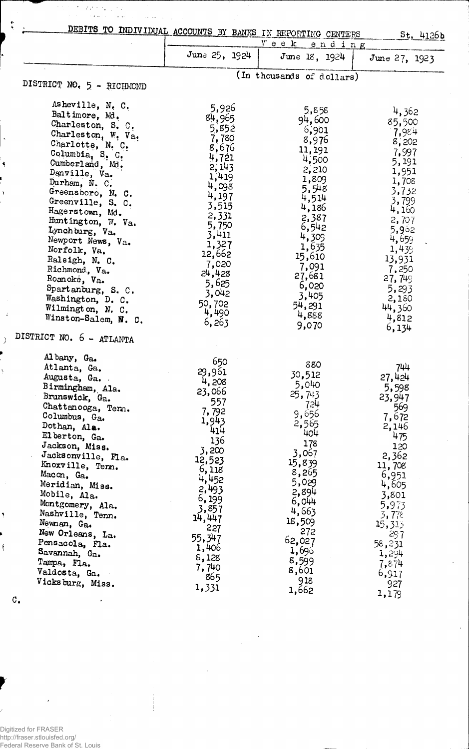|                                                                                                                                                                                                                                                                                                                                                                                                                                                                                            | DEBITS TO INDIVIDUAL ACCOUNTS BY BANKS IN REPORTING CENTERS<br>$St.$ 4126b<br>$V$ e e k<br>ending                                                                                                                |                                                                                                                                                                                                                  |                                                                                                                                                                                                                 |  |
|--------------------------------------------------------------------------------------------------------------------------------------------------------------------------------------------------------------------------------------------------------------------------------------------------------------------------------------------------------------------------------------------------------------------------------------------------------------------------------------------|------------------------------------------------------------------------------------------------------------------------------------------------------------------------------------------------------------------|------------------------------------------------------------------------------------------------------------------------------------------------------------------------------------------------------------------|-----------------------------------------------------------------------------------------------------------------------------------------------------------------------------------------------------------------|--|
|                                                                                                                                                                                                                                                                                                                                                                                                                                                                                            | June 25, 1924                                                                                                                                                                                                    | June 18, 1924                                                                                                                                                                                                    | June 27, 1923                                                                                                                                                                                                   |  |
| DISTRICT NO. 5 - RICHMOND                                                                                                                                                                                                                                                                                                                                                                                                                                                                  |                                                                                                                                                                                                                  | (In thousands of dollars)                                                                                                                                                                                        |                                                                                                                                                                                                                 |  |
| Asheville, N. C.<br>Baltimore, Md.<br>Charleston, S. C.<br>Charleston, W. Va.<br>Charlotte, N. C.<br>Columbia, S. C.<br>Cumberland, Md.<br>Danville, Va.<br>Durham, N. C.<br>Greensboro, N. C.<br>Greenville, S. C.<br>Hagerstown, Md.<br>Huntington, W. Va.<br>Lynchburg, Va.<br>Newport News, Va.<br>Norfolk, Va.<br>Raleigh, N. C.<br>Richmond, Va.<br>Roanoke, Va.<br>Spartanburg, S. C.<br>Washington, D. C.<br>Wilmington, N. C.<br>Winston-Salem, N. C.<br>DISTRICT NO. 6 - ATLANTA | 5,926<br>84,965<br>5,852<br>7,780<br>8,676<br>4,721<br>2, 143<br>1,419<br>4,098<br>4,197<br>3,515<br>2,331<br>5,750<br>3,411<br>1,327<br>12,662<br>7,020<br>24,428<br>5,625<br>3,042<br>50,702<br>4,490<br>6,263 | 5,858<br>94,600<br>6,901<br>8,976<br>11,191<br>4,500<br>2,210<br>1,809<br>5,548<br>4,514<br>4,186<br>2,387<br>6,542<br>4,309<br>1,635<br>15,610<br>7,091<br>27,681<br>6,020<br>3,405<br>54,291<br>4,888<br>9,070 | 4,362<br>85,500<br>7,984<br>8,202<br>7,997<br>5,191<br>1,951<br>1,708<br>3,732<br>3,799<br>4,160<br>2,707<br>5,902<br>4,659<br>1,439<br>13,931<br>7,250<br>27,749<br>5,293<br>2,180<br>44,360<br>4,812<br>6,134 |  |
| Albany, Ga.<br>Atlanta, Ga.<br>Augusta, Ga.<br>Birmingham, Ala.<br>Brunswick, Ga.<br>Chattanooga, Tem.<br>Columbus, Ga.<br>Dothan, Ala.<br>Elberton, Ga.<br>Jackson, Miss.<br>Jacksonville, Fla.<br>Knoxville, Tenn.<br>Macon, Ga.<br>Meridian, Miss.<br>Mobile, Ala.<br>Montgomery, Ala.<br>Nashville, Tenn.<br>Newnan, Ga.<br>New Orleans, La.<br>Pensacola, Fla.<br>Savannah, Ga.<br>Tampa, Fla.<br>Valdosta, Ga.<br>Vicksburg, Miss.                                                   | 650<br>29,961<br>4,208<br>23,066<br>557<br>7,792<br>1,943<br>414<br>136<br>3,200<br>12,523<br>6,118<br>4,452<br>2,493<br>6, 199<br>3,857<br>14,447<br>227<br>55,347<br>1,406<br>8,128<br>7,740<br>865<br>1,331   | 880<br>30,512<br>5,040<br>25,743<br>724<br>9,656<br>2,565<br>404<br>178<br>3,067<br>15,839<br>8,265<br>5,029<br>2,894<br>6,044<br>4,663<br>18,509<br>272<br>62,027<br>1,696<br>8,599<br>8,601<br>918<br>1,662    | 744<br>27,424<br>5,598<br>23,947<br>569<br>7,672<br>2,146<br>475<br>120<br>2,362<br>11,708<br>6,951<br>4,605<br>3,801<br>5,973<br>3,778<br>15,313<br>297<br>58,231<br>1,294<br>7,874<br>6,917<br>927<br>1,179   |  |

 $\epsilon$ 

C.

 $\ddot{\mathsf{f}}$ 

 $\ddot{\bullet}$ 

Digitized for FRASER http://fraser.stlouisfed.org/ Federal Reserve Bank of St. Louis  $\frac{1}{2}$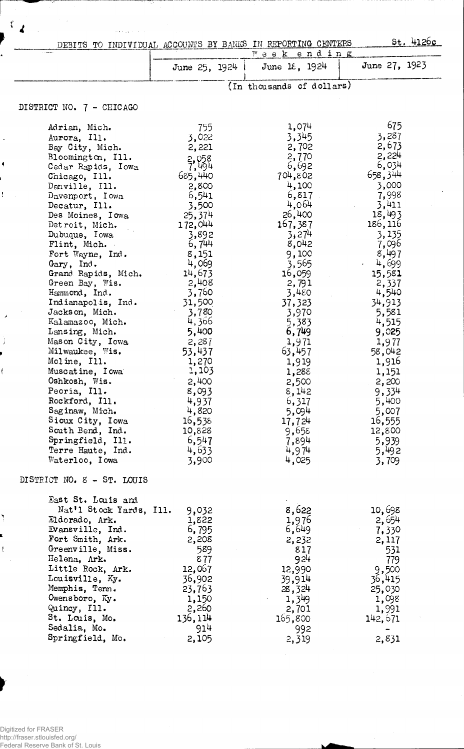|                                              |                  | DEBITS TO INDIVIDUAL ACCOUNTS BY BANKS IN REPORTING CENTERS<br>Week ending |                                |
|----------------------------------------------|------------------|----------------------------------------------------------------------------|--------------------------------|
|                                              | June 25, 1924    | June 18, $1924$                                                            | June 27, $1923$                |
|                                              |                  | (In thousands of dollars)                                                  |                                |
| DISTRICT NO. 7 - CHICAGO                     |                  |                                                                            |                                |
| Adrian, Mich.                                | 755              | 1,074                                                                      | 675                            |
| Aurora, Ill.                                 | 3,022            | 3,345                                                                      | 3,287                          |
| Bay City, Mich.                              | 2,221            | 2,702                                                                      | 2,673                          |
| Bloomington, Ill.                            | $2,058$<br>7,494 | 2,770                                                                      | 2,224                          |
| Cedar Rapids, Iowa                           |                  | 6,692                                                                      | 6,034                          |
| Chicago, Ill.                                | 685,440          | 704,802                                                                    | 658,344                        |
| Danville, Ill.                               | 2,800            | 4,100                                                                      | 3,000                          |
| Davenport, Iowa                              | 6,541<br>3,500   | 6,817<br>4,064                                                             | 7,998<br>3,411                 |
| Decatur, Ill.<br>Des Moines, Iowa            | 25,374           | 26,400                                                                     | 18,493                         |
| Detroit, Mich.                               | 172,044          | 167,387                                                                    | 186, 116                       |
| Dubuque, Iowa                                | 3,892            | 3,274                                                                      | 3,135                          |
| Flint, Mich.                                 | 6,744            | 8,042                                                                      | 7,096                          |
| Fort Wayne, Ind.                             | 8,151            | 9,100                                                                      | 8,497                          |
| Gary, Ind.                                   | 4,069            | 3,565                                                                      | 4,699<br>$\bullet$ . $\bullet$ |
| Grand Rapids, Mich.                          | 14,673           | 16,059                                                                     | 15,581                         |
| Green Bay, Wis.                              | 2,408            | 2,791                                                                      | 2,337                          |
| Hammond, Ind.                                | 3,760            | 3,480                                                                      | 4,540                          |
| Indianapolis, Ind.                           | 31,500           | 37,323                                                                     | 34,913                         |
| Jackson, Mich.                               | 3,780            | 3,970                                                                      | 5,581                          |
| Kalamazoo, Mich.                             | 4,366            | 5,383                                                                      | 4,515                          |
| Lansing, Mich.                               | 5,400            | 6,749                                                                      | 9,025                          |
| Mason City, Iowa                             | 2,287            | 1,971                                                                      | 1,977                          |
| Milwaukee, Wis.                              | 53,437           | 63,457                                                                     | 58,042                         |
| Moline, Ill.                                 | 1,270            | 1,919                                                                      | 1,916                          |
| Muscatine, I cwa                             | 1,103            | 1,288                                                                      | 1,151                          |
| Oshkosh, Wis.                                | 2,400            | 2,500                                                                      | 2,200                          |
| Peoria, Ill.                                 | 8,093            | 8,142                                                                      | 9,334                          |
| Rockford, Ill.                               | 4,937            | 6,317                                                                      | 5,400                          |
| Saginaw, Mich.                               | 4,820            | 5,094                                                                      | 5,007                          |
| Sioux City, Iowa                             | 16,538           | 17,724                                                                     | 16,555                         |
| South Bend, Ind.                             | 10,828           | 9,655                                                                      | 12,800                         |
| Springfield, Ill.                            | 6,547            | 7,894                                                                      | 5,939                          |
| Terre Haute, Ind.                            | 4,633            | 4,974                                                                      | 5,492                          |
| Waterloo, Iowa<br>DISTRICT NO. 8 - ST. LOUIS | 3,900            | 4,025                                                                      | 3,709                          |
|                                              |                  |                                                                            |                                |
| East St. Louis and                           |                  |                                                                            |                                |
| Nat'l Stock Yards, Ill.                      | 9,032            | 8,622                                                                      | 10,698                         |
| Eldorado, Ark.                               | 1,822            | 1,976                                                                      | 2,654                          |
| Evansville, Ind.<br>Fort Smith, Ark.         | 6,795<br>2,208   | 6,649                                                                      | 7,330                          |
| Greenville, Miss.                            | 589              | 2,232<br>817                                                               | 2,117                          |
| Helena, Ark.                                 | 877              | 924                                                                        | 531<br>779                     |
| Little Rock, Ark.                            | 12,067           | 12,990                                                                     |                                |
| Louisville, Ky.                              | 36,902           | 39,914                                                                     | 9,500<br>36,415                |
| Memphis, Tenn.                               | 23,763           | 28,324                                                                     | 25,030                         |
| Owensboro, Ky.                               | 1,150            | 1,349                                                                      | 1,098                          |
| Quincy, Ill.                                 | 2,260            | 2,701                                                                      | 1,991                          |
| St. Louis, Mo.                               | 136,114          | 165,800                                                                    | 142,671                        |
|                                              |                  |                                                                            |                                |
| Sedalia, Mo.                                 | 914              | 992                                                                        | $\blacksquare$                 |

 $\overline{\phantom{a}}$ 

 $\ddot{\phantom{1}}$ 

Ť

J.

j

ŧ

٦

 $\bar{\rm t}$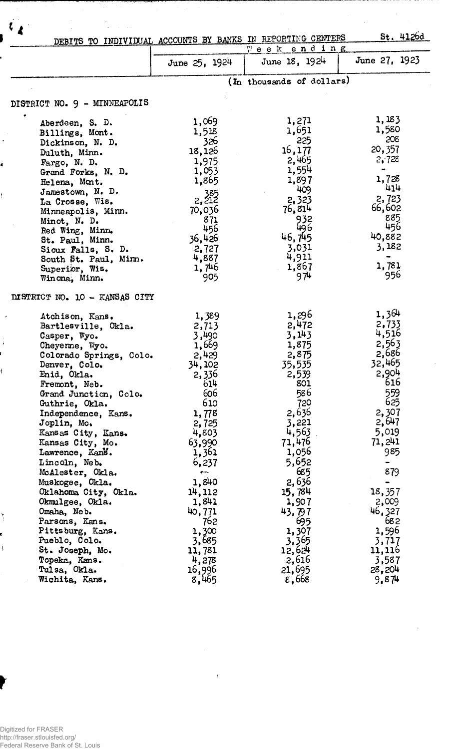|                                    | $St.$ 4126d<br>DEBITS TO INDIVIDUAL ACCOUNTS BY BANKS IN REPORTING CENTERS<br>Week ending |                           |                         |  |
|------------------------------------|-------------------------------------------------------------------------------------------|---------------------------|-------------------------|--|
|                                    | June 25, 1924                                                                             | June 18, 1924             | June 27, 1923           |  |
|                                    |                                                                                           | (In thousands of dollars) |                         |  |
| DISTRICT NO. 9 - MINNEAPOLIS       |                                                                                           |                           |                         |  |
|                                    |                                                                                           |                           |                         |  |
| Aberdeen, S. D.                    | 1,069                                                                                     | 1,271                     | 1,183                   |  |
| Billings, Mont.                    | 1,518                                                                                     | 1,651                     | 1,580                   |  |
| Dickinson, N. D.                   | 326                                                                                       | 225                       | 208                     |  |
| Duluth, Minn.                      | 18,126                                                                                    | 16,177                    | 20,357                  |  |
| Fargo, N. D.                       | 1,975                                                                                     | 2,465                     | 2,728                   |  |
| Grand Forks, N. D.                 | 1,053                                                                                     | 1,554                     | $\blacksquare$<br>1,728 |  |
| Helena, Mont.                      | 1,865                                                                                     | 1,897                     | 414                     |  |
| Jamestown, N. D.                   | $2, \frac{385}{212}$                                                                      | 409<br>2,323              | 2,723                   |  |
| La Crosse, Wis.                    |                                                                                           | 76,814                    | 66,602                  |  |
| Minneapolis, Minn.                 | 70,036<br>871                                                                             | 932                       | 885                     |  |
| Minot, N. D.                       | 456                                                                                       | 496                       | 456                     |  |
| Red Wing, Minn.<br>St. Paul, Minn. | 36,426                                                                                    | 46,745                    | 40,882                  |  |
| Sioux Falls, S. D.                 | 2,727                                                                                     | 3,031                     | 3,182                   |  |
| South St. Paul, Mirm.              | 4,887                                                                                     | 4,911                     |                         |  |
| Superior, Wis.                     | 1,746                                                                                     | 1,867                     | 1,781                   |  |
| Winona, Minn.                      | 905                                                                                       | 974                       | 956                     |  |
| DISTRICT NO. 10 - KANSAS CITY      |                                                                                           |                           | 1,364                   |  |
| Atchison, Kans.                    | 1,389                                                                                     | 1,296                     | 2,733                   |  |
| Bartlesville, Okla.                | 2,713                                                                                     | 2,472<br>3,143            | 4,516                   |  |
| Casper, Wyo.<br>Cheyerme, Wyo.     | 3,490<br>1,669                                                                            | 1,875                     | 2,563                   |  |
| Colorado Springs, Colo.            | 2,429                                                                                     | 2,875                     | 2,686                   |  |
| Denver, Colo.                      | 34,102                                                                                    | 35,535                    | 32,465                  |  |
| Enid, Okla.                        | 2,336                                                                                     | 2,539                     | 2,904                   |  |
| Fremont, Neb.                      | 614                                                                                       | 801                       | 616                     |  |
| Grand Junction, Colo.              | 606                                                                                       | 586                       | 559                     |  |
| Guthrie, Okla.                     | 610                                                                                       | 720                       | 625                     |  |
| Independence, Kans.                | 1,778                                                                                     | 2,636                     | 2,307                   |  |
| Joplin, Mo.                        | 2,725                                                                                     | 3,221                     | 2,647                   |  |
| Kansas City, Kans.                 | 4,803                                                                                     | 4,563                     | 5,019                   |  |
| Kansas City, Mo.                   | 63,990                                                                                    | 71,476                    | 71, 241                 |  |
| Lawrence, Kans.                    | 1,361                                                                                     | 1,056                     | 985                     |  |
| Lincoln, Neb.                      | 6,237                                                                                     | 5,652                     |                         |  |
| McAlester, Okla.                   | $\overline{\phantom{a}}$                                                                  | 685                       | 879                     |  |
| Muskogee, Okla.                    | 1,840                                                                                     | 2,636                     | $\blacksquare$          |  |
| Oklahoma City, Okla.               | 14,112                                                                                    | 15,784                    | 18,357                  |  |
| Okmulgee, Okla.                    | 1,841                                                                                     | 1,907                     | 2,009                   |  |
| Omaha, Neb.                        | 40,771                                                                                    | 43,797                    | 46,327                  |  |
| Parsons, Kans.                     | 762                                                                                       | 695                       | 682                     |  |
| Pittsburg, Kans.                   | 1,300                                                                                     | 1,307                     | 1,596                   |  |
| Pueblo, Colo.<br>St. Joseph, Mo.   | 3,685<br>11,781                                                                           | 3,365<br>12,624           | 3,717<br>11,116         |  |
| Topeka, Kans.                      | 4,278                                                                                     | 2,616                     | 3,587                   |  |
| Tulsa, Okla.                       | 16,996                                                                                    | 21,695                    | 28,204                  |  |
| Wichita, Kans.                     | 8,465                                                                                     | 8,668                     | 9,874                   |  |

 $\sim 3$  .

 $\sim$